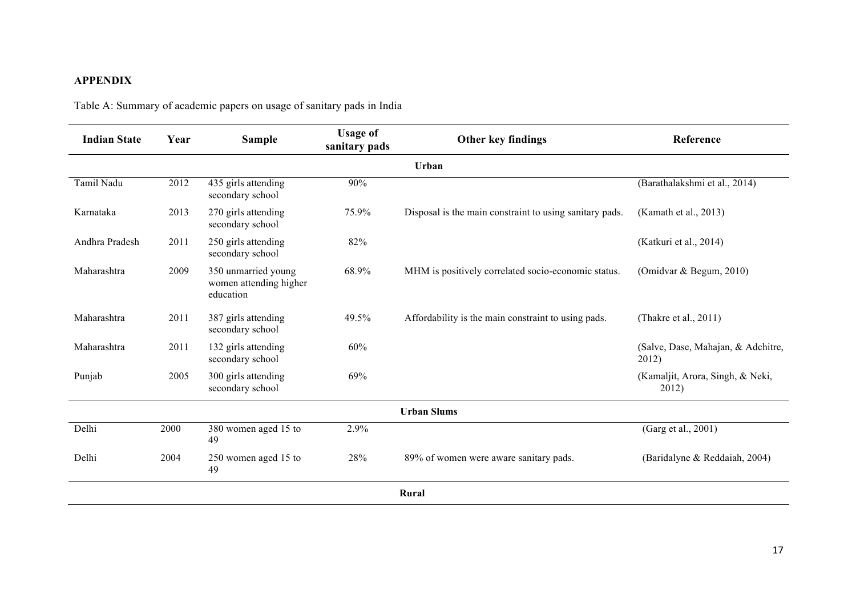## **APPENDIX**

Table A: Summary of academic papers on usage of sanitary pads in India

| <b>Indian State</b> | Year | <b>Sample</b>                                              | <b>Usage of</b><br>sanitary pads | Other key findings                                      | Reference                                   |  |  |
|---------------------|------|------------------------------------------------------------|----------------------------------|---------------------------------------------------------|---------------------------------------------|--|--|
|                     |      |                                                            |                                  | Urban                                                   |                                             |  |  |
| Tamil Nadu          | 2012 | 435 girls attending<br>secondary school                    | 90%                              |                                                         | (Barathalakshmi et al., 2014)               |  |  |
| Karnataka           | 2013 | 270 girls attending<br>secondary school                    | 75.9%                            | Disposal is the main constraint to using sanitary pads. | (Kamath et al., 2013)                       |  |  |
| Andhra Pradesh      | 2011 | 250 girls attending<br>secondary school                    | 82%                              |                                                         | (Katkuri et al., 2014)                      |  |  |
| Maharashtra         | 2009 | 350 unmarried young<br>women attending higher<br>education | 68.9%                            | MHM is positively correlated socio-economic status.     | (Omidvar & Begum, 2010)                     |  |  |
| Maharashtra         | 2011 | 387 girls attending<br>secondary school                    | 49.5%                            | Affordability is the main constraint to using pads.     | (Thakre et al., 2011)                       |  |  |
| Maharashtra         | 2011 | 132 girls attending<br>secondary school                    | 60%                              |                                                         | (Salve, Dase, Mahajan, & Adchitre,<br>2012) |  |  |
| Punjab              | 2005 | 300 girls attending<br>secondary school                    | 69%                              |                                                         | (Kamaljit, Arora, Singh, & Neki,<br>2012)   |  |  |
|                     |      |                                                            |                                  | <b>Urban Slums</b>                                      |                                             |  |  |
| Delhi               | 2000 | 380 women aged 15 to<br>49                                 | 2.9%                             |                                                         | (Garg et al., 2001)                         |  |  |
| Delhi               | 2004 | 250 women aged 15 to<br>49                                 | 28%                              | 89% of women were aware sanitary pads.                  | (Baridalyne & Reddaiah, 2004)               |  |  |
| Rural               |      |                                                            |                                  |                                                         |                                             |  |  |